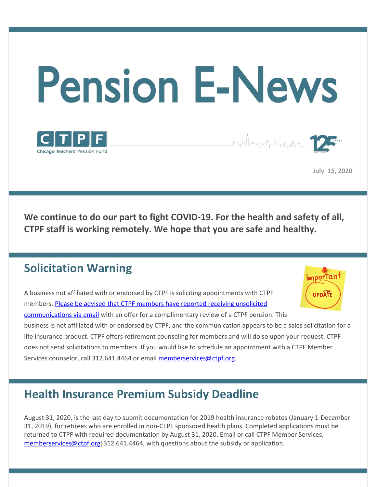

**July 15, 2020**

Importani

**We continue to do our part to fight COVID-19. For the health and safety of all, CTPF staff is working remotely. We hope that you are safe and healthy.**

### **Solicitation Warning**

A business not affiliated with or endorsed by CTPF is soliciting appointments with CTPF **UPDATI** members. Please be advised that CTPF members have reported receiving unsolicited [communications](https://www.ctpf.org/news/ctpf-solicitation-warning) via email with an offer for a complimentary review of a CTPF pension. This business is not affiliated with or endorsed by CTPF, and the communication appears to be a sales solicitation for a life insurance product. CTPF offers retirement counseling for members and will do so upon your request. CTPF does not send solicitations to members. If you would like to schedule an appointment with a CTPF Member Services counselor, call 312.641.4464 or email [memberservices@ctpf.org](mailto:memberservices@ctpf.org).

# **Health Insurance Premium Subsidy Deadline**

August 31, 2020, is the last day to submit documentation for 2019 health insurance rebates (January 1-December 31, 2019), for retirees who are enrolled in non-CTPF sponsored health plans. Completed applications must be returned to CTPF with required documentation by August 31, 2020. Email or call CTPF Member Services, [memberservices@ctpf.org](mailto:memberservices@ctpf.org)|312.641.4464, with questions about the subsidy or application.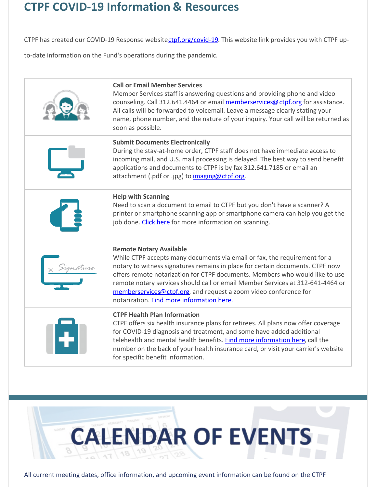## **CTPF COVID-19 Information & Resources**

CTPF has created our COVID-19 Response website[ctpf.org/covid-19](http://ctpf.org/covid-19). This website link provides you with CTPF up-

to-date information on the Fund's operations during the pandemic.

| <b>Call or Email Member Services</b><br>Member Services staff is answering questions and providing phone and video<br>counseling. Call 312.641.4464 or email memberservices@ctpf.org for assistance.<br>All calls will be forwarded to voicemail. Leave a message clearly stating your<br>name, phone number, and the nature of your inquiry. Your call will be returned as<br>soon as possible.                                                                                |
|---------------------------------------------------------------------------------------------------------------------------------------------------------------------------------------------------------------------------------------------------------------------------------------------------------------------------------------------------------------------------------------------------------------------------------------------------------------------------------|
| <b>Submit Documents Electronically</b><br>During the stay-at-home order, CTPF staff does not have immediate access to<br>incoming mail, and U.S. mail processing is delayed. The best way to send benefit<br>applications and documents to CTPF is by fax 312.641.7185 or email an<br>attachment (.pdf or .jpg) to imaging@ctpf.org.                                                                                                                                            |
| <b>Help with Scanning</b><br>Need to scan a document to email to CTPF but you don't have a scanner? A<br>printer or smartphone scanning app or smartphone camera can help you get the<br>job done. Click here for more information on scanning.                                                                                                                                                                                                                                 |
| <b>Remote Notary Available</b><br>While CTPF accepts many documents via email or fax, the requirement for a<br>notary to witness signatures remains in place for certain documents. CTPF now<br>offers remote notarization for CTPF documents. Members who would like to use<br>remote notary services should call or email Member Services at 312-641-4464 or<br>memberservices@ctpf.org, and request a zoom video conference for<br>notarization. Find more information here. |
| <b>CTPF Health Plan Information</b><br>CTPF offers six health insurance plans for retirees. All plans now offer coverage<br>for COVID-19 diagnosis and treatment, and some have added additional<br>telehealth and mental health benefits. Find more information here, call the<br>number on the back of your health insurance card, or visit your carrier's website<br>for specific benefit information.                                                                       |



All current meeting dates, office information, and upcoming event information can be found on the CTPF